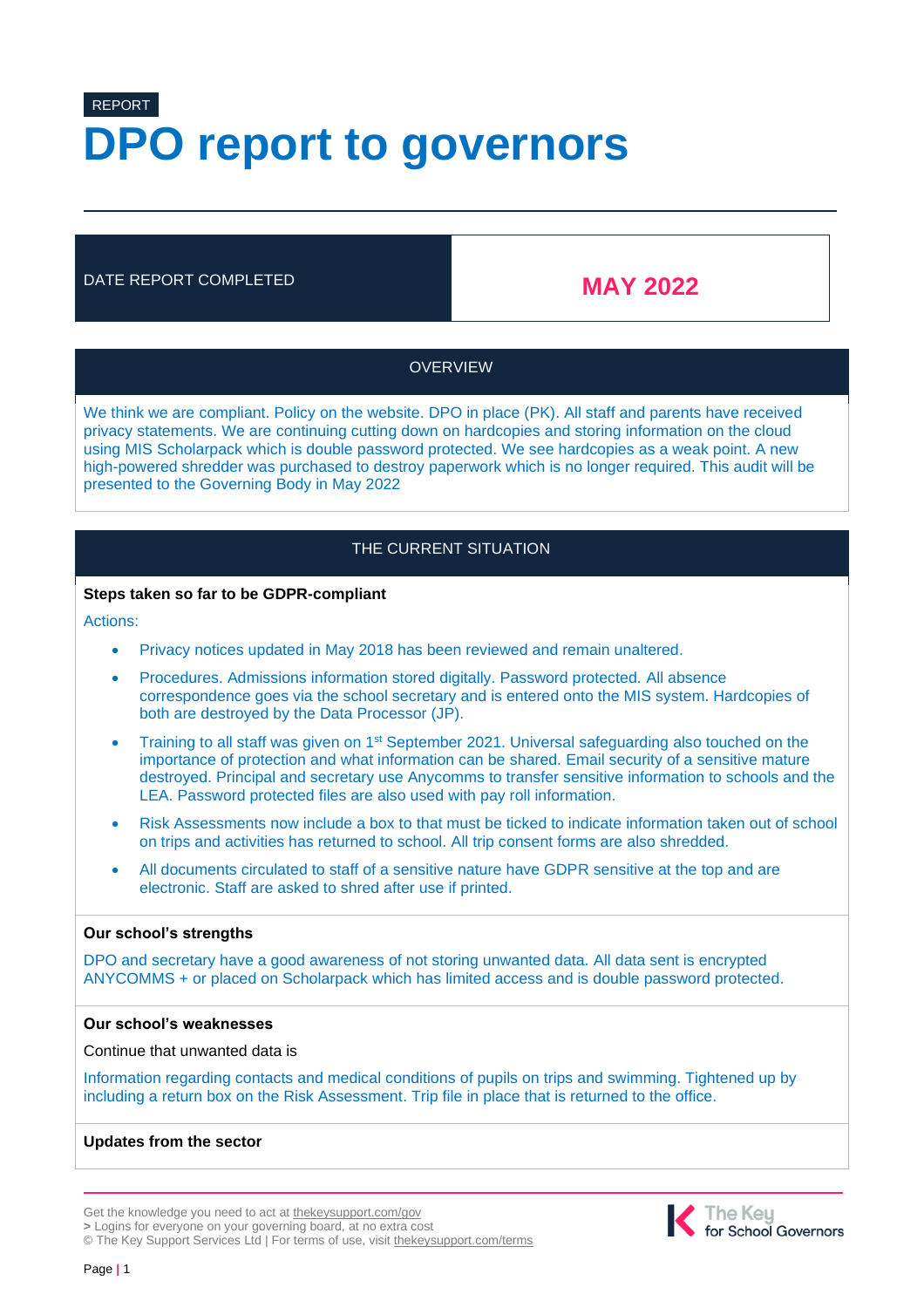# REPORT **DPO report to governors**

# DATE REPORT COMPLETED **MAY 2022**

# **OVERVIEW**

We think we are compliant. Policy on the website. DPO in place (PK). All staff and parents have received privacy statements. We are continuing cutting down on hardcopies and storing information on the cloud using MIS Scholarpack which is double password protected. We see hardcopies as a weak point. A new high-powered shredder was purchased to destroy paperwork which is no longer required. This audit will be presented to the Governing Body in May 2022

# THE CURRENT SITUATION

#### **Steps taken so far to be GDPR-compliant**

Actions:

- Privacy notices updated in May 2018 has been reviewed and remain unaltered.
- Procedures. Admissions information stored digitally. Password protected. All absence correspondence goes via the school secretary and is entered onto the MIS system. Hardcopies of both are destroyed by the Data Processor (JP).
- Training to all staff was given on  $1<sup>st</sup>$  September 2021. Universal safeguarding also touched on the importance of protection and what information can be shared. Email security of a sensitive mature destroyed. Principal and secretary use Anycomms to transfer sensitive information to schools and the LEA. Password protected files are also used with pay roll information.
- Risk Assessments now include a box to that must be ticked to indicate information taken out of school on trips and activities has returned to school. All trip consent forms are also shredded.
- All documents circulated to staff of a sensitive nature have GDPR sensitive at the top and are electronic. Staff are asked to shred after use if printed.

### **Our school's strengths**

DPO and secretary have a good awareness of not storing unwanted data. All data sent is encrypted ANYCOMMS + or placed on Scholarpack which has limited access and is double password protected.

#### **Our school's weaknesses**

Continue that unwanted data is

Information regarding contacts and medical conditions of pupils on trips and swimming. Tightened up by including a return box on the Risk Assessment. Trip file in place that is returned to the office.

### **Updates from the sector**

**>** Logins for everyone on your governing board, at no extra cost

© The Key Support Services Ltd | For terms of use, visit [thekeysupport.com/terms](https://thekeysupport.com/terms-of-use)



Get the knowledge you need to act at [thekeysupport.com/gov](http://www.thekeysupport.com/gov)